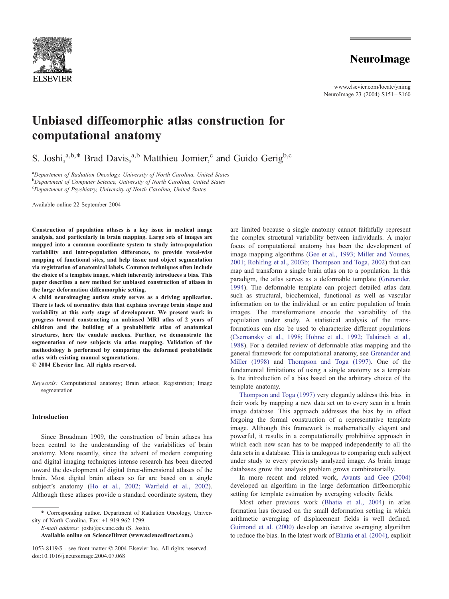

## **NeuroImage**

www.elsevier.com/locate/ynimg NeuroImage 23 (2004) S151 – S160

# Unbiased diffeomorphic atlas construction for computational anatomy

S. Joshi,<sup>a,b,\*</sup> Brad Davis,<sup>a,b</sup> Matthieu Jomier,<sup>c</sup> and Guido Gerig<sup>b,c</sup>

<sup>a</sup>Department of Radiation Oncology, University of North Carolina, United States **b** Department of Computer Science, University of North Carolina, United States <sup>c</sup>Department of Psychiatry, University of North Carolina, United States

Available online 22 September 2004

Construction of population atlases is a key issue in medical image analysis, and particularly in brain mapping. Large sets of images are mapped into a common coordinate system to study intra-population variability and inter-population differences, to provide voxel-wise mapping of functional sites, and help tissue and object segmentation via registration of anatomical labels. Common techniques often include the choice of a template image, which inherently introduces a bias. This paper describes a new method for unbiased construction of atlases in the large deformation diffeomorphic setting.

A child neuroimaging autism study serves as a driving application. There is lack of normative data that explains average brain shape and variability at this early stage of development. We present work in progress toward constructing an unbiased MRI atlas of 2 years of children and the building of a probabilistic atlas of anatomical structures, here the caudate nucleus. Further, we demonstrate the segmentation of new subjects via atlas mapping. Validation of the methodology is performed by comparing the deformed probabilistic atlas with existing manual segmentations.

 $© 2004 Elsevier Inc. All rights reserved.$ 

Keywords: Computational anatomy; Brain atlases; Registration; Image segmentation

## Introduction

Since Broadman 1909, the construction of brain atlases has been central to the understanding of the variabilities of brain anatomy. More recently, since the advent of modern computing and digital imaging techniques intense research has been directed toward the development of digital three-dimensional atlases of the brain. Most digital brain atlases so far are based on a single subject's anatomy ([Ho et al., 2002; Warfield et al., 2002\)](#page-8-0). Although these atlases provide a standard coordinate system, they

\* Corresponding author. Department of Radiation Oncology, University of North Carolina. Fax: +1 919 962 1799.

E-mail address: joshi@cs.unc.edu (S. Joshi).

Available online on ScienceDirect (www.sciencedirect.com.)

are limited because a single anatomy cannot faithfully represent the complex structural variability between individuals. A major focus of computational anatomy has been the development of image mapping algorithms ([Gee et al., 1993; Miller and Younes,](#page-8-0) 2001; Rohlfing et al., 2003b; Thompson and Toga, 2002) that can map and transform a single brain atlas on to a population. In this paradigm, the atlas serves as a deformable template ([Grenander,](#page-8-0) 1994). The deformable template can project detailed atlas data such as structural, biochemical, functional as well as vascular information on to the individual or an entire population of brain images. The transformations encode the variability of the population under study. A statistical analysis of the transformations can also be used to characterize different populations ([Csernansky et al., 1998; Hohne et al., 1992; Talairach et al.,](#page-8-0) 1988). For a detailed review of deformable atlas mapping and the general framework for computational anatomy, see [Grenander and](#page-8-0) Miller (1998) and [Thompson and Toga \(1997\).](#page-9-0) One of the fundamental limitations of using a single anatomy as a template is the introduction of a bias based on the arbitrary choice of the template anatomy.

[Thompson and Toga \(1997\)](#page-9-0) very elegantly address this bias in their work by mapping a new data set on to every scan in a brain image database. This approach addresses the bias by in effect forgoing the formal construction of a representative template image. Although this framework is mathematically elegant and powerful, it results in a computationally prohibitive approach in which each new scan has to be mapped independently to all the data sets in a database. This is analogous to comparing each subject under study to every previously analyzed image. As brain image databases grow the analysis problem grows combinatorially.

In more recent and related work, [Avants and Gee \(2004\)](#page-8-0) developed an algorithm in the large deformation diffeomorphic setting for template estimation by averaging velocity fields.

Most other previous work ([Bhatia et al., 2004\)](#page-8-0) in atlas formation has focused on the small deformation setting in which arithmetic averaging of displacement fields is well defined. [Guimond et al. \(2000\)](#page-8-0) develop an iterative averaging algorithm to reduce the bias. In the latest work of [Bhatia et al. \(2004\),](#page-8-0) explicit

<sup>1053-8119/\$ -</sup> see front matter © 2004 Elsevier Inc. All rights reserved. doi:10.1016/j.neuroimage.2004.07.068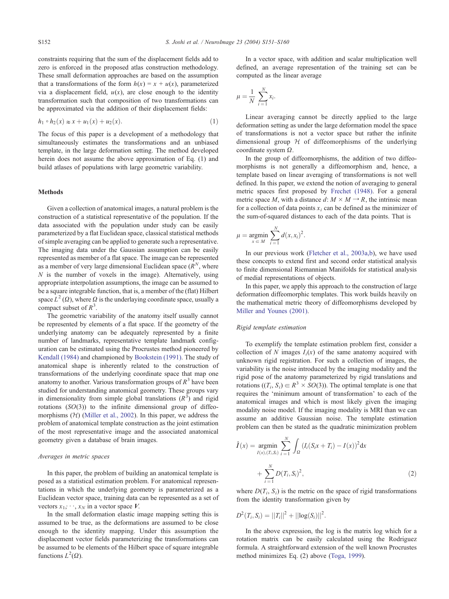constraints requiring that the sum of the displacement fields add to zero is enforced in the proposed atlas construction methodology. These small deformation approaches are based on the assumption that a transformations of the form  $h(x) = x + u(x)$ , parameterized via a displacement field,  $u(x)$ , are close enough to the identity transformation such that composition of two transformations can be approximated via the addition of their displacement fields:

$$
h_1 \circ h_2(x) \approx x + u_1(x) + u_2(x).
$$
 (1)

The focus of this paper is a development of a methodology that simultaneously estimates the transformations and an unbiased template, in the large deformation setting. The method developed herein does not assume the above approximation of Eq. (1) and build atlases of populations with large geometric variability.

## Methods

Given a collection of anatomical images, a natural problem is the construction of a statistical representative of the population. If the data associated with the population under study can be easily parameterized by a flat Euclidean space, classical statistical methods of simple averaging can be applied to generate such a representative. The imaging data under the Gaussian assumption can be easily represented as member of a flat space. The image can be represented as a member of very large dimensional Euclidean space  $(R^N)$ , where  $N$  is the number of voxels in the image). Alternatively, using appropriate interpolation assumptions, the image can be assumed to be a square integrable function, that is, a member of the (flat) Hilbert space  $L^2(\Omega)$ , where  $\Omega$  is the underlaying coordinate space, usually a compact subset of  $R^3$ .

The geometric variability of the anatomy itself usually cannot be represented by elements of a flat space. If the geometry of the underlying anatomy can be adequately represented by a finite number of landmarks, representative template landmark configuration can be estimated using the Procrustes method pioneered by [Kendall \(1984\)](#page-8-0) and championed by [Bookstein \(1991\).](#page-8-0) The study of anatomical shape is inherently related to the construction of transformations of the underlying coordinate space that map one anatomy to another. Various transformation groups of  $R<sup>3</sup>$  have been studied for understanding anatomical geometry. These groups vary in dimensionality from simple global translations  $(R^3)$  and rigid rotations  $(SO(3))$  to the infinite dimensional group of diffeomorphisms  $(H)$  [\(Miller et al., 2002\)](#page-9-0). In this paper, we address the problem of anatomical template construction as the joint estimation of the most representative image and the associated anatomical geometry given a database of brain images.

#### Averages in metric spaces

In this paper, the problem of building an anatomical template is posed as a statistical estimation problem. For anatomical representations in which the underlying geometry is parameterized as a Euclidean vector space, training data can be represented as a set of vectors  $x_1$ ;  $\cdot \cdot$ ,  $x_N$  in a vector space V.

In the small deformation elastic image mapping setting this is assumed to be true, as the deformations are assumed to be close enough to the identity mapping. Under this assumption the displacement vector fields parameterizing the transformations can be assumed to be elements of the Hilbert space of square integrable functions  $L^2(\Omega)$ .

In a vector space, with addition and scalar multiplication well defined, an average representation of the training set can be computed as the linear average

$$
\mu = \frac{1}{N} \sum_{i=1}^{N} x_i.
$$

Linear averaging cannot be directly applied to the large deformation setting as under the large deformation model the space of transformations is not a vector space but rather the infinite dimensional group  $H$  of diffeomorphisms of the underlying coordinate system  $\Omega$ .

In the group of diffeomorphisms, the addition of two diffeomorphisms is not generally a diffeomorphism and, hence, a template based on linear averaging of transformations is not well defined. In this paper, we extend the notion of averaging to general metric spaces first proposed by [Frechet \(1948\).](#page-8-0) For a general metric space M, with a distance  $d: M \times M \rightarrow R$ , the intrinsic mean for a collection of data points  $x_i$  can be defined as the minimizer of the sum-of-squared distances to each of the data points. That is

$$
\mu = \underset{x \in M}{\operatorname{argmin}} \sum_{i=1}^{N} d(x, x_i)^2.
$$

In our previous work ([Fletcher et al., 2003a,b\)](#page-8-0), we have used these concepts to extend first and second order statistical analysis to finite dimensional Riemannian Manifolds for statistical analysis of medial representations of objects.

In this paper, we apply this approach to the construction of large deformation diffeomorphic templates. This work builds heavily on the mathematical metric theory of diffeomorphisms developed by [Miller and Younes \(2001\).](#page-9-0)

## Rigid template estimation

To exemplify the template estimation problem first, consider a collection of N images  $I_i(x)$  of the same anatomy acquired with unknown rigid registration. For such a collection of images, the variability is the noise introduced by the imaging modality and the rigid pose of the anatomy parameterized by rigid translations and rotations  $((T_i, S_i) \in R^3 \times SO(3))$ . The optimal template is one that requires the 'minimum amount of transformation' to each of the anatomical images and which is most likely given the imaging modality noise model. If the imaging modality is MRI than we can assume an additive Gaussian noise. The template estimation problem can then be stated as the quadratic minimization problem

$$
\hat{I}(x) = \underset{I(x),(T_i,S_i)}{\text{argmin}} \sum_{i=1}^{N} \int_{\Omega} (I_i(S_i x + T_i) - I(x))^2 dx
$$

$$
+ \sum_{i=1}^{N} D(T_i, S_i)^2,
$$
\n(2)

where  $D(T_i, S_i)$  is the metric on the space of rigid transformations from the identity transformation given by

$$
D^{2}(T_{i}, S_{i}) = ||T_{i}||^{2} + ||\log(S_{i})||^{2}.
$$

In the above expression, the log is the matrix log which for a rotation matrix can be easily calculated using the Rodriguez formula. A straightforward extension of the well known Procrustes method minimizes Eq. (2) above ([Toga, 1999\)](#page-9-0).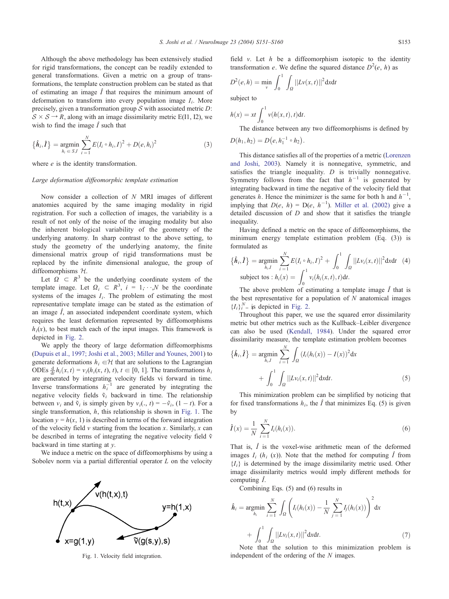<span id="page-2-0"></span>Although the above methodology has been extensively studied for rigid transformations, the concept can be readily extended to general transformations. Given a metric on a group of transformations, the template construction problem can be stated as that of estimating an image  $\hat{I}$  that requires the minimum amount of deformation to transform into every population image  $I_i$ . More precisely, given a transformation group  $S$  with associated metric  $D$ :  $S \times S \rightarrow R$ , along with an image dissimilarity metric E(I1, I2), we wish to find the image  $\hat{I}$  such that

$$
\{\hat{h}_i, \hat{I}\} = \underset{h_i \in S, I}{\text{argmin}} \sum_{i=1}^{N} E(I_i \circ h_i, I)^2 + D(e, h_i)^2 \tag{3}
$$

where *e* is the identity transformation.

## Large deformation diffeomorphic template estimation

Now consider a collection of N MRI images of different anatomies acquired by the same imaging modality in rigid registration. For such a collection of images, the variability is a result of not only of the noise of the imaging modality but also the inherent biological variability of the geometry of the underlying anatomy. In sharp contrast to the above setting, to study the geometry of the underlying anatomy, the finite dimensional matrix group of rigid transformations must be replaced by the infinite dimensional analogue, the group of diffeomorphisms  $H$ .

Let  $\Omega \subset R^3$  be the underlying coordinate system of the template image. Let  $\Omega_i \subset R^3$ ,  $i = 1, \dots, N$  be the coordinate systems of the images  $I_i$ . The problem of estimating the most representative template image can be stated as the estimation of an image  $\hat{I}$ , an associated independent coordinate system, which requires the least deformation represented by diffeomorphisms  $h_i(x)$ , to best match each of the input images. This framework is depicted in [Fig. 2.](#page-3-0)

We apply the theory of large deformation diffeomorphisms ([Dupuis et al., 1997; Joshi et al., 2003; Miller and Younes, 2001\)](#page-8-0) to generate deformations  $h_i \in \mathcal{H}$  that are solutions to the Lagrangian ODEs  $\frac{d}{dt}h_i(x,t) = v_i(h_i(x, t), t), t \in [0, 1]$ . The transformations  $h_i$ are generated by integrating velocity fields vi forward in time. Inverse transformations  $h_i^{-1}$  are generated by integrating the negative velocity fields  $\tilde{v}_i$  backward in time. The relationship between  $v_i$  and  $\tilde{v}_i$  is simply given by  $v_i(., t) = -\tilde{v}_i$ , (1 - t). For a single transformation,  $h$ , this relationship is shown in Fig. 1. The location  $y = h(x, 1)$  is described in terms of the forward integration of the velocity field  $v$  starting from the location  $x$ . Similarly,  $x$  can be described in terms of integrating the negative velocity field  $\tilde{v}$ backward in time starting at y.

We induce a metric on the space of diffeomorphisms by using a Sobolev norm via a partial differential operator  $L$  on the velocity



field v. Let  $h$  be a diffeomorphism isotopic to the identity transformation e. We define the squared distance  $D^2(e, h)$  as

$$
D^{2}(e,h) = \min_{v} \int_0^1 \int_{\Omega} ||Lv(x,t)||^2 \mathrm{d}x \mathrm{d}t
$$

subject to

$$
h(x) = xt \int_0^1 v(h(x, t), t) dt.
$$

The distance between any two diffeomorphisms is defined by  $D(h_1, h_2) = D(e, h_1^{-1} \circ h_2).$ 

This distance satisfies all of the properties of a metric ([Lorenzen](#page-8-0) and Joshi, 2003). Namely it is nonnegative, symmetric, and satisfies the triangle inequality.  $D$  is trivially nonnegative. Symmetry follows from the fact that  $h^{-1}$  is generated by integrating backward in time the negative of the velocity field that generates h. Hence the minimizer is the same for both h and  $h^{-1}$ , implying that  $D(e, h) = D(e, h^{-1})$ . [Miller et al. \(2002\)](#page-9-0) give a detailed discussion of  $D$  and show that it satisfies the triangle inequality.

Having defined a metric on the space of diffeomorphisms, the minimum energy template estimation problem (Eq. (3)) is formulated as

$$
\{\hat{h}_i, \hat{I}\} = \underset{h_i, I}{\text{argmin}} \sum_{i=1}^{N} E(I_i \circ h_i, I)^2 + \int_0^1 \int_{\Omega} ||Lv_i(x, t)||^2 \, \mathrm{d}x \mathrm{d}t \quad (4)
$$
\n
$$
\text{subject to} \quad h_i(x) = \int_0^1 v_i(h_i(x, t), t) \, \mathrm{d}t.
$$

The above problem of estimating a template image  $\hat{I}$  that is the best representative for a population of  $N$  anatomical images  ${I_i}_i^N =$  is depicted in [Fig. 2.](#page-3-0)

Throughout this paper, we use the squared error dissimilarity metric but other metrics such as the Kullback–Leibler divergence can also be used ([Kendall, 1984\)](#page-8-0). Under the squared error dissimilarity measure, the template estimation problem becomes

$$
\{\hat{h}_i, \hat{I}\} = \underset{h_i, I}{\text{argmin}} \sum_{i=1}^{N} \int_{\Omega} (I_i(h_i(x)) - I(x))^2 dx
$$

$$
+ \int_0^1 \int_{\Omega} ||Lv_i(x, t)||^2 dx dt. \tag{5}
$$

This minimization problem can be simplified by noticing that for fixed transformations  $h_i$ , the  $\hat{I}$  that minimizes Eq. (5) is given by

$$
\hat{I}(x) = \frac{1}{N} \sum_{i=1}^{N} I_i(h_i(x)).
$$
\n(6)

That is,  $\hat{I}$  is the voxel-wise arithmetic mean of the deformed images  $I_i$  ( $h_i$  (x)). Note that the method for computing  $\hat{I}$  from  ${I_i}$  is determined by the image dissimilarity metric used. Other image dissimilarity metrics would imply different methods for computing  $\hat{I}$ .

Combining Eqs. (5) and (6) results in

$$
\hat{h}_i = \underset{h_i}{\text{argmin}} \sum_{i=1}^N \int_{\Omega} \left( I_i(h_i(x)) - \frac{1}{N} \sum_{j=1}^N I_j(h_i(x)) \right)^2 dx
$$

$$
+ \int_0^1 \int_{\Omega} ||Lv_i(x, t)||^2 dx dt. \tag{7}
$$

 $\frac{J_0}{J_0}$  Note that the solution to this minimization problem is Fig. 1. Velocity field integration. independent of the ordering of the N images.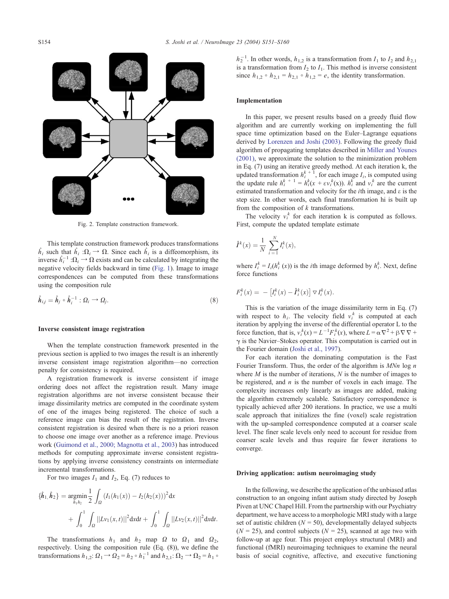<span id="page-3-0"></span>

Fig. 2. Template construction framework.

This template construction framework produces transformations  $\hat{h}_i$  such that  $\hat{h}_i : \Omega_i \to \Omega$ . Since each  $\hat{h}_i$  is a diffeomorphism, its inverse  $\hat{h}_i^{-1}$ : $\Omega_i \rightarrow \Omega$  exists and can be calculated by integrating the negative velocity fields backward in time ([Fig. 1\)](#page-2-0). Image to image correspondences can be computed from these transformations using the composition rule

$$
\hat{\boldsymbol{h}}_{i,j} = \hat{\boldsymbol{h}}_j \circ \hat{\boldsymbol{h}}_i^{-1} : \Omega_i \to \Omega_j. \tag{8}
$$

#### Inverse consistent image registration

When the template construction framework presented in the previous section is applied to two images the result is an inherently inverse consistent image registration algorithm—no correction penalty for consistency is required.

A registration framework is inverse consistent if image ordering does not affect the registration result. Many image registration algorithms are not inverse consistent because their image dissimilarity metrics are computed in the coordinate system of one of the images being registered. The choice of such a reference image can bias the result of the registration. Inverse consistent registration is desired when there is no a priori reason to choose one image over another as a reference image. Previous work ([Guimond et al., 2000; Magnotta et al., 2003\)](#page-8-0) has introduced methods for computing approximate inverse consistent registrations by applying inverse consistency constraints on intermediate incremental transformations.

For two images  $I_1$  and  $I_2$ , Eq. (7) reduces to

$$
\{\hat{h}_1, \hat{h}_2\} = \underset{h_1 h_2}{\text{argmin}} \frac{1}{2} \int_{\Omega} (I_1(h_1(x)) - I_2(h_2(x)))^2 dx
$$

$$
+ \int_0^1 \int_{\Omega} ||Lv_1(x, t)||^2 dx dt + \int_0^1 \int_{\Omega} ||Lv_2(x, t)||^2 dx dt.
$$

The transformations  $h_1$  and  $h_2$  map  $\Omega$  to  $\Omega_1$  and  $\Omega_2$ , respectively. Using the composition rule (Eq. (8)), we define the transformations  $h_{1,2}: \Omega_1 \to \Omega_2 = h_2 \circ h_1^{-1}$  and  $h_{2,1}: \Omega_2 \to \Omega_2 = h_1 \circ h_2$ 

 $h_2^{-1}$ . In other words,  $h_{1,2}$  is a transformation from  $I_1$  to  $I_2$  and  $h_{2,1}$ is a transformation from  $I_2$  to  $I_1$ . This method is inverse consistent since  $h_{1,2} \circ h_{2,1} = h_{2,1} \circ h_{1,2} = e$ , the identity transformation.

#### Implementation

In this paper, we present results based on a greedy fluid flow algorithm and are currently working on implementing the full space time optimization based on the Euler–Lagrange equations derived by [Lorenzen and Joshi \(2003\).](#page-8-0) Following the greedy fluid algorithm of propagating templates described in [Miller and Younes](#page-9-0) (2001), we approximate the solution to the minimization problem in Eq. (7) using an iterative greedy method. At each iteration k, the updated transformation  $h_i^{k+1}$ , for each image  $I_i$ , is computed using the update rule  $h_i^k + 1 = h_i^k(x + \varepsilon v_i^k(x))$ .  $h_i^k$  and  $v_i^k$  are the current estimated transformation and velocity for the *i*th image, and  $\varepsilon$  is the step size. In other words, each final transformation hi is built up from the composition of  $k$  transformations.

The velocity  $v_i^k$  for each iteration k is computed as follows. First, compute the updated template estimate

$$
\hat{I}^k(x) = \frac{1}{N} \sum_{i=1}^N I_i^k(x),
$$

where  $I_i^k = I_i(h_i^k(x))$  is the *i*th image deformed by  $h_i^k$ . Next, define force functions

$$
F_i^k(x) = -\left[I_i^k(x) - \hat{I}_i^k(x)\right] \nabla I_i^k(x).
$$

This is the variation of the image dissimilarity term in Eq. (7) with respect to  $h_i$ . The velocity field  $v_i^k$  is computed at each iteration by applying the inverse of the differential operator L to the force function, that is,  $v_i^k(x) = L^{-1} F_i^k(x)$ , where  $L = \alpha \nabla^2 + \beta \nabla \nabla +$  $\gamma$  is the Navier–Stokes operator. This computation is carried out in the Fourier domain ([Joshi et al., 1997\)](#page-8-0).

For each iteration the dominating computation is the Fast Fourier Transform. Thus, the order of the algorithm is  $M N n \log n$ where  $M$  is the number of iterations,  $N$  is the number of images to be registered, and  $n$  is the number of voxels in each image. The complexity increases only linearly as images are added, making the algorithm extremely scalable. Satisfactory correspondence is typically achieved after 200 iterations. In practice, we use a multi scale approach that initializes the fine (voxel) scale registration with the up-sampled correspondence computed at a coarser scale level. The finer scale levels only need to account for residue from coarser scale levels and thus require far fewer iterations to converge.

#### Driving application: autism neuroimaging study

In the following, we describe the application of the unbiased atlas construction to an ongoing infant autism study directed by Joseph Piven at UNC Chapel Hill. From the partnership with our Psychiatry department, we have access to a morphologic MRI study with a large set of autistic children ( $N = 50$ ), developmentally delayed subjects  $(N = 25)$ , and control subjects  $(N = 25)$ , scanned at age two with follow-up at age four. This project employs structural (MRI) and functional (fMRI) neuroimaging techniques to examine the neural basis of social cognitive, affective, and executive functioning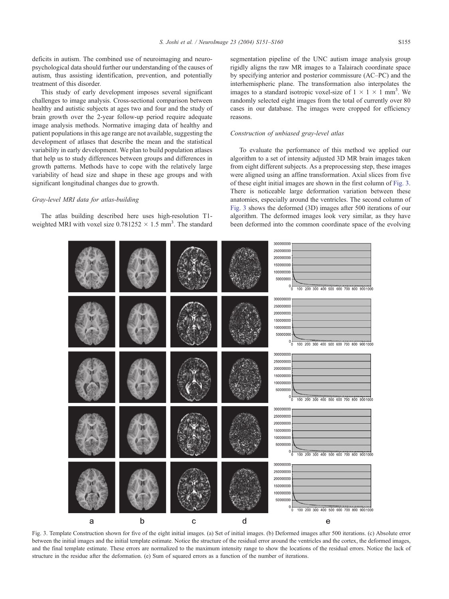<span id="page-4-0"></span>deficits in autism. The combined use of neuroimaging and neuropsychological data should further our understanding of the causes of autism, thus assisting identification, prevention, and potentially treatment of this disorder.

This study of early development imposes several significant challenges to image analysis. Cross-sectional comparison between healthy and autistic subjects at ages two and four and the study of brain growth over the 2-year follow-up period require adequate image analysis methods. Normative imaging data of healthy and patient populations in this age range are not available, suggesting the development of atlases that describe the mean and the statistical variability in early development. We plan to build population atlases that help us to study differences between groups and differences in growth patterns. Methods have to cope with the relatively large variability of head size and shape in these age groups and with significant longitudinal changes due to growth.

## Gray-level MRI data for atlas-building

The atlas building described here uses high-resolution T1 weighted MRI with voxel size  $0.781252 \times 1.5$  mm<sup>3</sup>. The standard segmentation pipeline of the UNC autism image analysis group rigidly aligns the raw MR images to a Talairach coordinate space by specifying anterior and posterior commissure (AC–PC) and the interhemispheric plane. The transformation also interpolates the images to a standard isotropic voxel-size of  $1 \times 1 \times 1$  mm<sup>3</sup>. We randomly selected eight images from the total of currently over 80 cases in our database. The images were cropped for efficiency reasons.

## Construction of unbiased gray-level atlas

To evaluate the performance of this method we applied our algorithm to a set of intensity adjusted 3D MR brain images taken from eight different subjects. As a preprocessing step, these images were aligned using an affine transformation. Axial slices from five of these eight initial images are shown in the first column of Fig. 3. There is noticeable large deformation variation between these anatomies, especially around the ventricles. The second column of Fig. 3 shows the deformed (3D) images after 500 iterations of our algorithm. The deformed images look very similar, as they have been deformed into the common coordinate space of the evolving



Fig. 3. Template Construction shown for five of the eight initial images. (a) Set of initial images. (b) Deformed images after 500 iterations. (c) Absolute error between the initial images and the initial template estimate. Notice the structure of the residual error around the ventricles and the cortex, the deformed images, and the final template estimate. These errors are normalized to the maximum intensity range to show the locations of the residual errors. Notice the lack of structure in the residue after the deformation. (e) Sum of squared errors as a function of the number of iterations.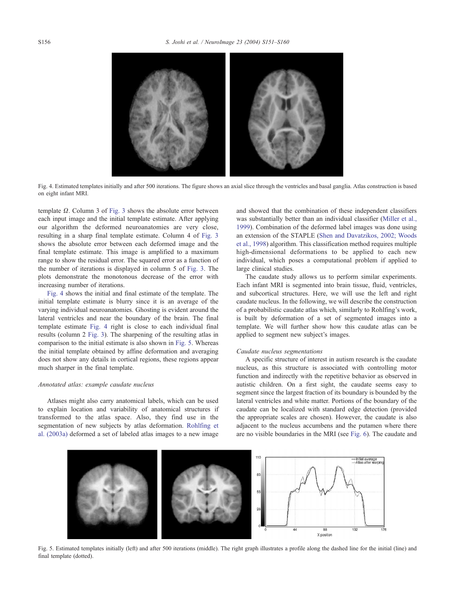

Fig. 4. Estimated templates initially and after 500 iterations. The figure shows an axial slice through the ventricles and basal ganglia. Atlas construction is based on eight infant MRI.

template  $\Omega$ . Column 3 of [Fig. 3](#page-4-0) shows the absolute error between each input image and the initial template estimate. After applying our algorithm the deformed neuroanatomies are very close, resulting in a sharp final template estimate. Column 4 of [Fig. 3](#page-4-0) shows the absolute error between each deformed image and the final template estimate. This image is amplified to a maximum range to show the residual error. The squared error as a function of the number of iterations is displayed in column 5 of [Fig. 3.](#page-4-0) The plots demonstrate the monotonous decrease of the error with increasing number of iterations.

Fig. 4 shows the initial and final estimate of the template. The initial template estimate is blurry since it is an average of the varying individual neuroanatomies. Ghosting is evident around the lateral ventricles and near the boundary of the brain. The final template estimate Fig. 4 right is close to each individual final results (column 2 [Fig. 3\)](#page-4-0). The sharpening of the resulting atlas in comparison to the initial estimate is also shown in Fig. 5. Whereas the initial template obtained by affine deformation and averaging does not show any details in cortical regions, these regions appear much sharper in the final template.

#### Annotated atlas: example caudate nucleus

Atlases might also carry anatomical labels, which can be used to explain location and variability of anatomical structures if transformed to the atlas space. Also, they find use in the segmentation of new subjects by atlas deformation. [Rohlfing et](#page-9-0) al. (2003a) deformed a set of labeled atlas images to a new image and showed that the combination of these independent classifiers was substantially better than an individual classifier ([Miller et al.,](#page-9-0) 1999). Combination of the deformed label images was done using an extension of the STAPLE ([Shen and Davatzikos, 2002; Woods](#page-9-0) et al., 1998) algorithm. This classification method requires multiple high-dimensional deformations to be applied to each new individual, which poses a computational problem if applied to large clinical studies.

The caudate study allows us to perform similar experiments. Each infant MRI is segmented into brain tissue, fluid, ventricles, and subcortical structures. Here, we will use the left and right caudate nucleus. In the following, we will describe the construction of a probabilistic caudate atlas which, similarly to Rohlfing's work, is built by deformation of a set of segmented images into a template. We will further show how this caudate atlas can be applied to segment new subject's images.

## Caudate nucleus segmentations

A specific structure of interest in autism research is the caudate nucleus, as this structure is associated with controlling motor function and indirectly with the repetitive behavior as observed in autistic children. On a first sight, the caudate seems easy to segment since the largest fraction of its boundary is bounded by the lateral ventricles and white matter. Portions of the boundary of the caudate can be localized with standard edge detection (provided the appropriate scales are chosen). However, the caudate is also adjacent to the nucleus accumbens and the putamen where there are no visible boundaries in the MRI (see [Fig. 6\)](#page-6-0). The caudate and



Fig. 5. Estimated templates initially (left) and after 500 iterations (middle). The right graph illustrates a profile along the dashed line for the initial (line) and final template (dotted).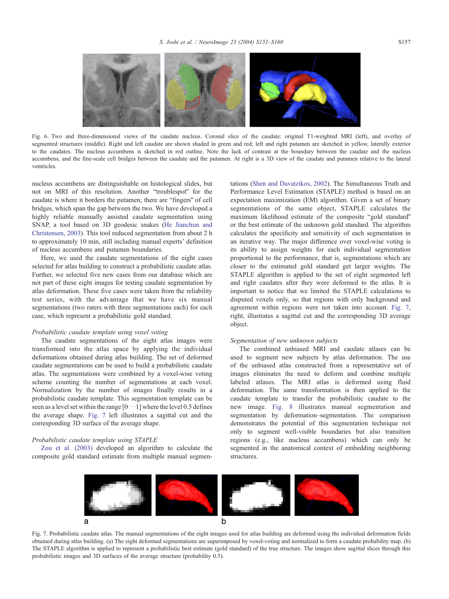<span id="page-6-0"></span>

Fig. 6. Two and three-dimensional views of the caudate nucleus. Coronal slice of the caudate: original T1-weighted MRI (left), and overlay of segmented structures (middle). Right and left caudate are shown shaded in green and red; left and right putamen are sketched in yellow, laterally exterior to the caudates. The nucleus accumbens is sketched in red outline. Note the lack of contrast at the boundary between the caudate and the nucleus accumbens, and the fine-scale cell bridges between the caudate and the putamen. At right is a 3D view of the caudate and putamen relative to the lateral ventricles.

nucleus accumbens are distinguishable on histological slides, but not on MRI of this resolution. Another "troublespot" for the caudate is where it borders the putamen; there are "fingers" of cell bridges, which span the gap between the two. We have developed a highly reliable manually assisted caudate segmentation using SNAP, a tool based on 3D geodesic snakes ([He Jianchun and](#page-8-0) Christensen, 2003). This tool reduced segmentation from about 2 h to approximately 10 min, still including manual experts' definition of nucleus accumbens and putamen boundaries.

Here, we used the caudate segmentations of the eight cases selected for atlas building to construct a probabilistic caudate atlas. Further, we selected five new cases from our database which are not part of these eight images for testing caudate segmentation by atlas deformation. These five cases were taken from the reliability test series, with the advantage that we have six manual segmentations (two raters with three segmentations each) for each case, which represent a probabilistic gold standard.

#### Probabilistic caudate template using voxel voting

The caudate segmentations of the eight atlas images were transformed into the atlas space by applying the individual deformations obtained during atlas building. The set of deformed caudate segmentations can be used to build a probabilistic caudate atlas. The segmentations were combined by a voxel-wise voting scheme counting the number of segmentations at each voxel. Normalization by the number of images finally results in a probabilistic caudate template. This segmentation template can be seen as a level set within the range  $[0\cdot\cdot\cdot]$  where the level 0.5 defines the average shape. Fig. 7 left illustrates a sagittal cut and the corresponding 3D surface of the average shape.

## Probabilistic caudate template using STAPLE

[Zou et al. \(2003\)](#page-9-0) developed an algorithm to calculate the composite gold standard estimate from multiple manual segmentations ([Shen and Davatzikos, 2002\)](#page-9-0). The Simultaneous Truth and Performance Level Estimation (STAPLE) method is based on an expectation maximization (EM) algorithm. Given a set of binary segmentations of the same object, STAPLE calculates the maximum likelihood estimate of the composite "gold standard" or the best estimate of the unknown gold standard. The algorithm calculates the specificity and sensitivity of each segmentation in an iterative way. The major difference over voxel-wise voting is its ability to assign weights for each individual segmentation proportional to the performance, that is, segmentations which are closer to the estimated gold standard get larger weights. The STAPLE algorithm is applied to the set of eight segmented left and right caudates after they were deformed to the atlas. It is important to notice that we limited the STAPLE calculations to disputed voxels only, so that regions with only background and agreement within regions were not taken into account. Fig. 7, right, illustrates a sagittal cut and the corresponding 3D average object.

#### Segmentation of new unknown subjects

The combined unbiased MRI and caudate atlases can be used to segment new subjects by atlas deformation. The use of the unbiased atlas constructed from a representative set of images eliminates the need to deform and combine multiple labeled atlases. The MRI atlas is deformed using fluid deformation. The same transformation is then applied to the caudate template to transfer the probabilistic caudate to the new image. [Fig. 8](#page-7-0) illustrates manual segmentation and segmentation by deformation–segmentation. The comparison demonstrates the potential of this segmentation technique not only to segment well-visible boundaries but also transition regions (e.g., like nucleus accumbens) which can only be segmented in the anatomical context of embedding neighboring structures.



Fig. 7. Probabilistic caudate atlas. The manual segmentations of the eight images used for atlas building are deformed using the individual deformation fields obtained during atlas building. (a) The eight deformed segmentations are superimposed by voxel-voting and normalized to form a caudate probability map. (b) The STAPLE algorithm is applied to represent a probabilistic best estimate (gold standard) of the true structure. The images show sagittal slices through this probabilistic images and 3D surfaces of the average structure (probability 0.5).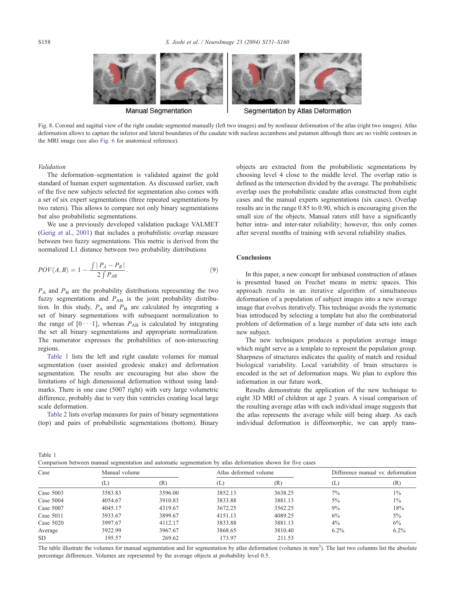<span id="page-7-0"></span>

Fig. 8. Coronal and sagittal view of the right caudate segmented manually (left two images) and by nonlinear deformation of the atlas (right two images). Atlas deformation allows to capture the inferior and lateral boundaries of the caudate with nucleus accumbens and putamen although there are no visible contours in the MRI image (see also [Fig. 6](#page-6-0) for anatomical reference).

Validation

The deformation–segmentation is validated against the gold standard of human expert segmentation. As discussed earlier, each of the five new subjects selected for segmentation also comes with a set of six expert segmentations (three repeated segmentations by two raters). This allows to compare not only binary segmentations but also probabilistic segmentations.

We use a previously developed validation package VALMET ([Gerig et al., 2001\)](#page-8-0) that includes a probabilistic overlap measure between two fuzzy segmentations. This metric is derived from the normalized L1 distance between two probability distributions

$$
POV(A, B) = 1 - \frac{\int |P_A - P_B|}{2 \int P_{AB}}.
$$
\n(9)

 $P_A$  and  $P_B$  are the probability distributions representing the two fuzzy segmentations and  $P_{AB}$  is the joint probability distribution. In this study,  $P_A$  and  $P_B$  are calculated by integrating a set of binary segmentations with subsequent normalization to the range of  $[0 \cdots 1]$ , whereas  $P_{AB}$  is calculated by integrating the set all binary segmentations and appropriate normalization. The numerator expresses the probabilities of non-intersecting regions.

Table 1 lists the left and right caudate volumes for manual segmentation (user assisted geodesic snake) and deformation segmentation. The results are encouraging but also show the limitations of high dimensional deformation without using landmarks. There is one case (5007 right) with very large volumetric difference, probably due to very thin ventricles creating local large scale deformation.

[Table 2](#page-8-0) lists overlap measures for pairs of binary segmentations (top) and pairs of probabilistic segmentations (bottom). Binary objects are extracted from the probabilistic segmentations by choosing level 4 close to the middle level. The overlap ratio is defined as the intersection divided by the average. The probabilistic overlap uses the probabilistic caudate atlas constructed from eight cases and the manual experts segmentations (six cases). Overlap results are in the range 0.85 to 0.90, which is encouraging given the small size of the objects. Manual raters still have a significantly better intra- and inter-rater reliability; however, this only comes after several months of training with several reliability studies.

## Conclusions

In this paper, a new concept for unbiased construction of atlases is presented based on Frechet means in metric spaces. This approach results in an iterative algorithm of simultaneous deformation of a population of subject images into a new average image that evolves iteratively. This technique avoids the systematic bias introduced by selecting a template but also the combinatorial problem of deformation of a large number of data sets into each new subject.

The new techniques produces a population average image which might serve as a template to represent the population group. Sharpness of structures indicates the quality of match and residual biological variability. Local variability of brain structures is encoded in the set of deformation maps. We plan to explore this information in our future work.

Results demonstrate the application of the new technique to eight 3D MRI of children at age 2 years. A visual comparison of the resulting average atlas with each individual image suggests that the atlas represents the average while still being sharp. As each individual deformation is diffeomorphic, we can apply trans-

Table 1 Comparison between manual segmentation and automatic segmentation by atlas deformation shown for five cases

|             |               | $\tilde{}$ |                       |         |                                   |         |
|-------------|---------------|------------|-----------------------|---------|-----------------------------------|---------|
| Case        | Manual volume |            | Atlas deformed volume |         | Difference manual vs. deformation |         |
|             | T.            | (R)        | $(\perp)$             | (R)     | (L                                | (R)     |
| Case $5003$ | 3583.83       | 3596.00    | 3852.13               | 3638.25 | 7%                                | $1\%$   |
| Case $5004$ | 4054.67       | 3910.83    | 3833.88               | 3881.13 | $5\%$                             | $1\%$   |
| Case $5007$ | 4045.17       | 4319.67    | 3672.25               | 3562.25 | 9%                                | 18%     |
| Case $5011$ | 3933.67       | 3899.67    | 4151.13               | 4089.25 | 6%                                | $5\%$   |
| Case $5020$ | 3997.67       | 4112.17    | 3833.88               | 3881.13 | $4\%$                             | $6\%$   |
| Average     | 3922.99       | 3967.67    | 3868.65               | 3810.40 | $6.2\%$                           | $6.2\%$ |
| <b>SD</b>   | 195.57        | 269.62     | 173.97                | 211.53  |                                   |         |

The table illustrate the volumes for manual segmentation and for segmentation by atlas deformation (volumes in mm<sup>3</sup>). The last two columns list the absolute percentage differences. Volumes are represented by the average objects at probability level 0.5.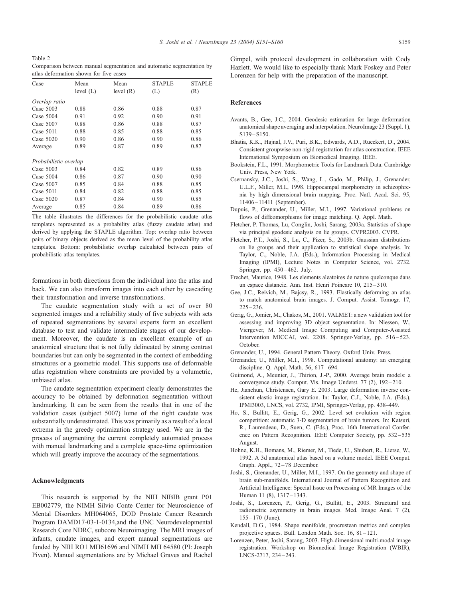<span id="page-8-0"></span>Table 2 Comparison between manual segmentation and automatic segmentation by atlas deformation shown for five cases

| Case                  | Mean        | Mean        | <b>STAPLE</b> | <b>STAPLE</b> |
|-----------------------|-------------|-------------|---------------|---------------|
|                       | level $(L)$ | level $(R)$ | (L)           | (R)           |
| Overlap ratio         |             |             |               |               |
| Case $5003$           | 0.88        | 0.86        | 0.88          | 0.87          |
| Case $5004$           | 0.91        | 0.92        | 0.90          | 0.91          |
| Case 5007             | 0.88        | 0.86        | 0.88          | 0.87          |
| Case $5011$           | 0.88        | 0.85        | 0.88          | 0.85          |
| Case 5020             | 0.90        | 0.86        | 0.90          | 0.86          |
| Average               | 0.89        | 0.87        | 0.89          | 0.87          |
| Probabilistic overlap |             |             |               |               |
| Case $5003$           | 0.84        | 0.82        | 0.89          | 0.86          |
| Case $5004$           | 0.86        | 0.87        | 0.90          | 0.90          |
| Case 5007             | 0.85        | 0.84        | 0.88          | 0.85          |
| Case $5011$           | 0.84        | 0.82        | 0.88          | 0.85          |
| Case 5020             | 0.87        | 0.84        | 0.90          | 0.85          |
| Average               | 0.85        | 0.84        | 0.89          | 0.86          |

The table illustrates the differences for the probabilistic caudate atlas templates represented as a probability atlas (fuzzy caudate atlas) and derived by applying the STAPLE algorithm. Top: overlap ratio between pairs of binary objects derived as the mean level of the probability atlas templates. Bottom: probabilistic overlap calculated between pairs of probabilistic atlas templates.

formations in both directions from the individual into the atlas and back. We can also transform images into each other by cascading their transformation and inverse transformations.

The caudate segmentation study with a set of over 80 segmented images and a reliability study of five subjects with sets of repeated segmentations by several experts form an excellent database to test and validate intermediate stages of our development. Moreover, the caudate is an excellent example of an anatomical structure that is not fully delineated by strong contrast boundaries but can only be segmented in the context of embedding structures or a geometric model. This supports use of deformable atlas registration where constraints are provided by a volumetric, unbiased atlas.

The caudate segmentation experiment clearly demonstrates the accuracy to be obtained by deformation segmentation without landmarking. It can be seen from the results that in one of the validation cases (subject 5007) lume of the right caudate was substantially underestimated. This was primarily as a result of a local extrema in the greedy optimization strategy used. We are in the process of augmenting the current completely automated process with manual landmarking and a complete space-time optimization which will greatly improve the accuracy of the segmentations.

#### Acknowledgments

This research is supported by the NIH NIBIB grant P01 EB002779, the NIMH Silvio Conte Center for Neuroscience of Mental Disorders MH064065, DOD Prostate Cancer Research Program DAMD17-03-1-0134,and the UNC Neurodevelopmental Research Core NDRC, subcore Neuroimaging. The MRI images of infants, caudate images, and expert manual segmentations are funded by NIH RO1 MH61696 and NIMH MH 64580 (PI: Joseph Piven). Manual segmentations are by Michael Graves and Rachel

Gimpel, with protocol development in collaboration with Cody Hazlett. We would like to especially thank Mark Foskey and Peter Lorenzen for help with the preparation of the manuscript.

## References

- Avants, B., Gee, J.C., 2004. Geodesic estimation for large deformation anatomical shape averaging and interpolation. NeuroImage 23 (Suppl. 1),  $S139 - S150$
- Bhatia, K.K., Hajnal, J.V., Puri, B.K., Edwards, A.D., Rueckert, D., 2004. Consistent groupwise non-rigid registration for atlas construction. IEEE International Symposium on Biomedical Imaging. IEEE.
- Bookstein, F.L., 1991. Morphometric Tools for Landmark Data. Cambridge Univ. Press, New York.
- Csernansky, J.C., Joshi, S., Wang, L., Gado, M., Philip, J., Grenander, U.L.F., Miller, M.I., 1998. Hippocampal morphometry in schizophrenia by high dimensional brain mapping. Proc. Natl. Acad. Sci. 95, 11406 – 11411 (September).
- Dupuis, P., Grenander, U., Miller, M.I., 1997. Variational problems on flows of diffeomorphisms for image matching. Q. Appl. Math.
- Fletcher, P. Thomas, Lu, Conglin, Joshi, Sarang, 2003a. Statistics of shape via principal geodesic analysis on lie groups. CVPR2003. CVPR.
- Fletcher, P.T., Joshi, S., Lu, C., Pizer, S., 2003b. Gaussian distributions on lie groups and their application to statistical shape analysis. In: Taylor, C., Noble, J.A. (Eds.), Information Processing in Medical Imaging (IPMI), Lecture Notes in Computer Science, vol. 2732. Springer, pp. 450-462. July.
- Frechet, Maurice, 1948. Les elements aleatoires de nature quelconque dans un espace distancie. Ann. Inst. Henri Poincare 10, 215-310.
- Gee, J.C., Reivich, M., Bajcsy, R., 1993. Elastically deforming an atlas to match anatomical brain images. J. Comput. Assist. Tomogr. 17,  $225 - 236$ .
- Gerig, G., Jomier, M., Chakos, M., 2001. VALMET: a new validation tool for assessing and improving 3D object segmentation. In: Niessen, W., Viergever, M. Medical Image Computing and Computer-Assisted Intervention MICCAI, vol. 2208. Springer-Verlag, pp. 516–523. October.
- Grenander, U., 1994. General Pattern Theory. Oxford Univ. Press.
- Grenander, U., Miller, M.I., 1998. Computational anatomy: an emerging discipline. O. Appl. Math. 56, 617-694.
- Guimond, A., Meunier, J., Thirion, J.-P., 2000. Average brain models: a convergence study. Comput. Vis. Image Underst. 77 (2), 192-210.
- He, Jianchun, Christensen, Gary E. 2003. Large deformation inverse consistent elastic image registration. In: Taylor, C.J., Noble, J.A. (Eds.), IPMI3003, LNCS, vol. 2732, IPMI, Springer-Verlag, pp. 438–449.
- Ho, S., Bullitt, E., Gerig, G., 2002. Level set evolution with region competition: automatic 3-D segmentation of brain tumors. In: Katsuri, R., Laurendeau, D., Suen, C. (Eds.), Proc. 16th International Conference on Pattern Recognition. IEEE Computer Society, pp. 532–535 August.
- Hohne, K.H., Bomans, M., Riemer, M., Tiede, U., Shubert, R., Lierse, W., 1992. A 3d anatomical atlas based on a volume model. IEEE Comput. Graph. Appl., 72-78 December.
- Joshi, S., Grenander, U., Miller, M.I., 1997. On the geometry and shape of brain sub-manifolds. International Journal of Pattern Recognition and Artificial Intelligence: Special Issue on Processing of MR Images of the Human 11 (8), 1317-1343.
- Joshi, S., Lorenzen, P., Gerig, G., Bullitt, E., 2003. Structural and radiometric asymmetry in brain images. Med. Image Anal. 7 (2), 155 – 170 (June).
- Kendall, D.G., 1984. Shape manifolds, procrustean metrics and complex projective spaces. Bull. London Math. Soc. 16, 81-121.
- Lorenzen, Peter, Joshi, Sarang, 2003. High-dimensional multi-modal image registration. Workshop on Biomedical Image Registration (WBIR), LNCS-2717, 234 – 243.